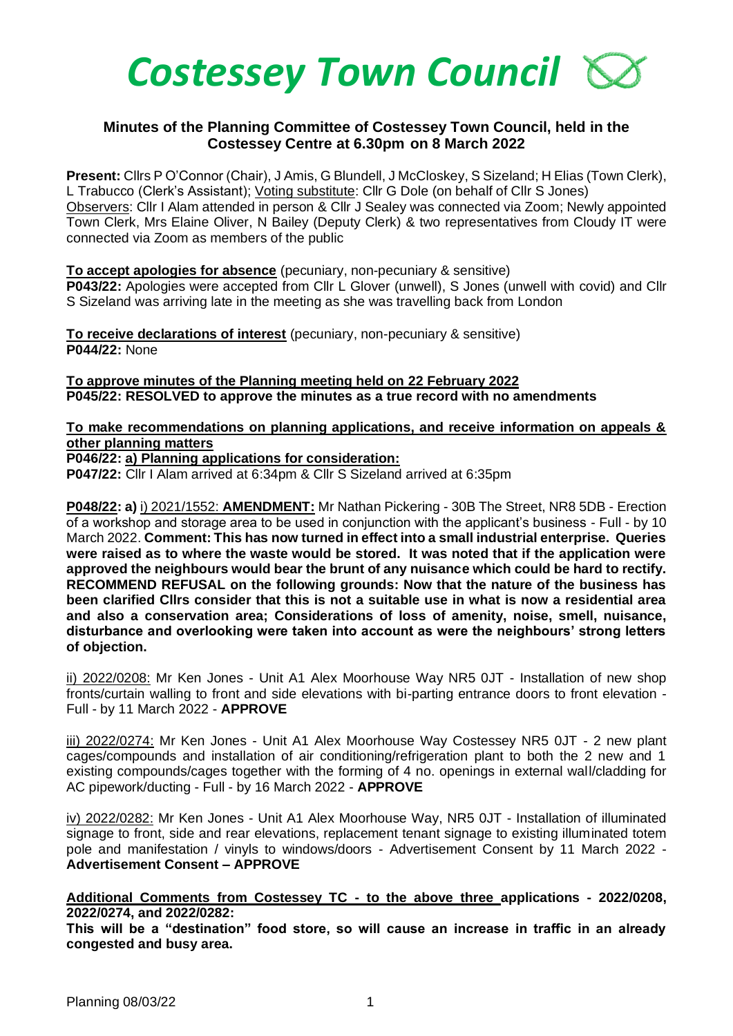

## **Minutes of the Planning Committee of Costessey Town Council, held in the Costessey Centre at 6.30pm on 8 March 2022**

**Present:** Cllrs P O'Connor (Chair), J Amis, G Blundell, J McCloskey, S Sizeland; H Elias (Town Clerk), L Trabucco (Clerk's Assistant); Voting substitute: Cllr G Dole (on behalf of Cllr S Jones) Observers: Cllr I Alam attended in person & Cllr J Sealey was connected via Zoom; Newly appointed Town Clerk, Mrs Elaine Oliver, N Bailey (Deputy Clerk) & two representatives from Cloudy IT were connected via Zoom as members of the public

**To accept apologies for absence** (pecuniary, non-pecuniary & sensitive) **P043/22:** Apologies were accepted from Cllr L Glover (unwell), S Jones (unwell with covid) and Cllr S Sizeland was arriving late in the meeting as she was travelling back from London

**To receive declarations of interest** (pecuniary, non-pecuniary & sensitive) **P044/22:** None

**To approve minutes of the Planning meeting held on 22 February 2022 P045/22: RESOLVED to approve the minutes as a true record with no amendments**

## **To make recommendations on planning applications, and receive information on appeals & other planning matters**

**P046/22: a) Planning applications for consideration:**

**P047/22:** Cllr I Alam arrived at 6:34pm & Cllr S Sizeland arrived at 6:35pm

**P048/22: a)** i) 2021/1552: **AMENDMENT:** Mr Nathan Pickering - 30B The Street, NR8 5DB - Erection of a workshop and storage area to be used in conjunction with the applicant's business - Full - by 10 March 2022. **Comment: This has now turned in effect into a small industrial enterprise. Queries were raised as to where the waste would be stored. It was noted that if the application were approved the neighbours would bear the brunt of any nuisance which could be hard to rectify. RECOMMEND REFUSAL on the following grounds: Now that the nature of the business has been clarified Cllrs consider that this is not a suitable use in what is now a residential area and also a conservation area; Considerations of loss of amenity, noise, smell, nuisance, disturbance and overlooking were taken into account as were the neighbours' strong letters of objection.** 

ii) 2022/0208: Mr Ken Jones - Unit A1 Alex Moorhouse Way NR5 0JT - Installation of new shop fronts/curtain walling to front and side elevations with bi-parting entrance doors to front elevation - Full - by 11 March 2022 - **APPROVE**

iii) 2022/0274: Mr Ken Jones - Unit A1 Alex Moorhouse Way Costessey NR5 0JT - 2 new plant cages/compounds and installation of air conditioning/refrigeration plant to both the 2 new and 1 existing compounds/cages together with the forming of 4 no. openings in external wall/cladding for AC pipework/ducting - Full - by 16 March 2022 - **APPROVE**

iv) 2022/0282: Mr Ken Jones - Unit A1 Alex Moorhouse Way, NR5 0JT - Installation of illuminated signage to front, side and rear elevations, replacement tenant signage to existing illuminated totem pole and manifestation / vinyls to windows/doors - Advertisement Consent by 11 March 2022 - **Advertisement Consent – APPROVE**

**Additional Comments from Costessey TC - to the above three applications - 2022/0208, 2022/0274, and 2022/0282:** 

**This will be a "destination" food store, so will cause an increase in traffic in an already congested and busy area.**